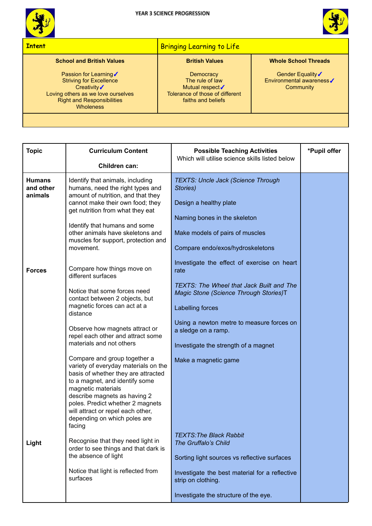



## **Intent** Bringing Learning to Life **School and British Values** Passion for Learning√ Striving for Excellence Creativity√ Loving others as we love ourselves Right and Responsibilities **Wholeness British Values Democracy** The rule of law Mutual respect√ Tolerance of those of different faiths and beliefs **Whole School Threads** Gender Equality√ Environmental awareness✓ **Community**

| <b>Topic</b>                          | <b>Curriculum Content</b>                                                                                                                                                                                                                                                    | <b>Possible Teaching Activities</b>                                                | *Pupil offer |
|---------------------------------------|------------------------------------------------------------------------------------------------------------------------------------------------------------------------------------------------------------------------------------------------------------------------------|------------------------------------------------------------------------------------|--------------|
|                                       | Children can:                                                                                                                                                                                                                                                                | Which will utilise science skills listed below                                     |              |
|                                       |                                                                                                                                                                                                                                                                              |                                                                                    |              |
| <b>Humans</b><br>and other<br>animals | Identify that animals, including<br>humans, need the right types and<br>amount of nutrition, and that they                                                                                                                                                                   | <b>TEXTS: Uncle Jack (Science Through</b><br>Stories)                              |              |
|                                       | cannot make their own food; they<br>get nutrition from what they eat                                                                                                                                                                                                         | Design a healthy plate                                                             |              |
|                                       | Identify that humans and some                                                                                                                                                                                                                                                | Naming bones in the skeleton                                                       |              |
|                                       | other animals have skeletons and<br>muscles for support, protection and                                                                                                                                                                                                      | Make models of pairs of muscles                                                    |              |
|                                       | movement.                                                                                                                                                                                                                                                                    | Compare endo/exos/hydroskeletons                                                   |              |
| <b>Forces</b>                         | Compare how things move on<br>different surfaces                                                                                                                                                                                                                             | Investigate the effect of exercise on heart<br>rate                                |              |
|                                       | Notice that some forces need<br>contact between 2 objects, but                                                                                                                                                                                                               | TEXTS: The Wheel that Jack Built and The<br>Magic Stone (Science Through Stories)T |              |
|                                       | magnetic forces can act at a<br>distance                                                                                                                                                                                                                                     | Labelling forces                                                                   |              |
|                                       | Observe how magnets attract or<br>repel each other and attract some                                                                                                                                                                                                          | Using a newton metre to measure forces on<br>a sledge on a ramp.                   |              |
|                                       | materials and not others                                                                                                                                                                                                                                                     | Investigate the strength of a magnet                                               |              |
|                                       | Compare and group together a<br>variety of everyday materials on the<br>basis of whether they are attracted<br>to a magnet, and identify some<br>magnetic materials<br>describe magnets as having 2<br>poles. Predict whether 2 magnets<br>will attract or repel each other, | Make a magnetic game                                                               |              |
|                                       | depending on which poles are<br>facing                                                                                                                                                                                                                                       |                                                                                    |              |
| Light                                 | Recognise that they need light in<br>order to see things and that dark is                                                                                                                                                                                                    | <b>TEXTS: The Black Rabbit</b><br>The Gruffalo's Child                             |              |
|                                       | the absence of light                                                                                                                                                                                                                                                         | Sorting light sources vs reflective surfaces                                       |              |
|                                       | Notice that light is reflected from<br>surfaces                                                                                                                                                                                                                              | Investigate the best material for a reflective<br>strip on clothing.               |              |
|                                       |                                                                                                                                                                                                                                                                              | Investigate the structure of the eye.                                              |              |